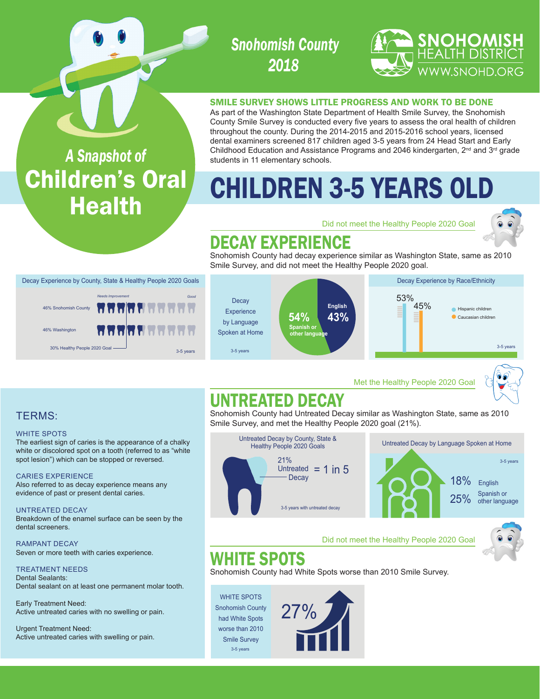## *Snohomish County 2018*

#### SMILE SURVEY SHOWS LITTLE PROGRESS AND WORK TO BE DONE

As part of the Washington State Department of Health Smile Survey, the Snohomish County Smile Survey is conducted every five years to assess the oral health of children throughout the county. During the 2014-2015 and 2015-2016 school years, licensed dental examiners screened 817 children aged 3-5 years from 24 Head Start and Early Childhood Education and Assistance Programs and 2046 kindergarten, 2<sup>nd</sup> and 3<sup>rd</sup> grade students in 11 elementary schools.

# CHILDREN 3-5 YEARS OLD

Did not meet the Healthy People 2020 Goal



**SNOHOMISH**<br>Health district

WWW.SNOHD.ORG

## DECAY EXPERIENCE

Snohomish County had decay experience similar as Washington State, same as 2010 Smile Survey, and did not meet the Healthy People 2020 goal.



Met the Healthy People 2020 Goal



## UNTREATED DECAY

Snohomish County had Untreated Decay similar as Washington State, same as 2010 Smile Survey, and met the Healthy People 2020 goal (21%).



#### Did not meet the Healthy People 2020 Goal

## WHITE SPOTS

Snohomish County had White Spots worse than 2010 Smile Survey.

WHITE SPOTS Snohomish County had White Spots worse than 2010 Smile Survey 3-5 years



*A Snapshot of* Children's Oral **Health** 

Decay Experience by County, State & Healthy People 2020 Goals

30% Healthy People 2020 Goal <u>state of the state of</u> 3-5 years 3-5 years

*Needs Improvement Good*

7 7 7 7 7 7 6 7 7 7 8

dolok dokokokoko

### TERMS:

#### WHITE SPOTS

The earliest sign of caries is the appearance of a chalky white or discolored spot on a tooth (referred to as "white spot lesion") which can be stopped or reversed.

#### CARIES EXPERIENCE

46% Washington

46% Snohomish County

Also referred to as decay experience means any evidence of past or present dental caries.

UNTREATED DECAY Breakdown of the enamel surface can be seen by the dental screeners.

RAMPANT DECAY Seven or more teeth with caries experience.

TREATMENT NEEDS Dental Sealants: Dental sealant on at least one permanent molar tooth.

Early Treatment Need: Active untreated caries with no swelling or pain.

Urgent Treatment Need: Active untreated caries with swelling or pain.